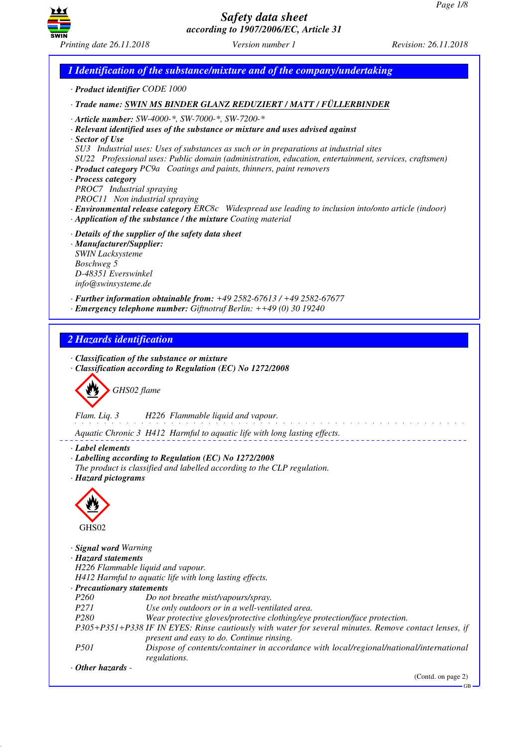GB



*Safety data sheet according to 1907/2006/EC, Article 31*

*1 Identification of the substance/mixture and of the company/undertaking · Product identifier CODE 1000 · Trade name: SWIN MS BINDER GLANZ REDUZIERT / MATT / FÜLLERBINDER · Article number: SW-4000-\*, SW-7000-\*, SW-7200-\* · Relevant identified uses of the substance or mixture and uses advised against · Sector of Use SU3 Industrial uses: Uses of substances as such or in preparations at industrial sites SU22 Professional uses: Public domain (administration, education, entertainment, services, craftsmen) · Product category PC9a Coatings and paints, thinners, paint removers · Process category PROC7 Industrial spraying PROC11 Non industrial spraying · Environmental release category ERC8c Widespread use leading to inclusion into/onto article (indoor) · Application of the substance / the mixture Coating material · Details of the supplier of the safety data sheet · Manufacturer/Supplier: SWIN Lacksysteme Boschweg 5 D-48351 Everswinkel info@swinsysteme.de · Further information obtainable from: +49 2582-67613 / +49 2582-67677 · Emergency telephone number: Giftnotruf Berlin: ++49 (0) 30 19240 2 Hazards identification · Classification of the substance or mixture · Classification according to Regulation (EC) No 1272/2008* d~*GHS02 flame Flam. Liq. 3 H226 Flammable liquid and vapour.* <u>.</u> . . . . . . . . . . . . . . *Aquatic Chronic 3 H412 Harmful to aquatic life with long lasting effects. · Label elements · Labelling according to Regulation (EC) No 1272/2008 The product is classified and labelled according to the CLP regulation. · Hazard pictograms* < GHS02 *· Signal word Warning · Hazard statements H226 Flammable liquid and vapour. H412 Harmful to aquatic life with long lasting effects. · Precautionary statements P260 Do not breathe mist/vapours/spray. P271 Use only outdoors or in a well-ventilated area. P280 Wear protective gloves/protective clothing/eye protection/face protection. P305+P351+P338 IF IN EYES: Rinse cautiously with water for several minutes. Remove contact lenses, if present and easy to do. Continue rinsing. P501 Dispose of contents/container in accordance with local/regional/national/international regulations. · Other hazards -*  (Contd. on page 2)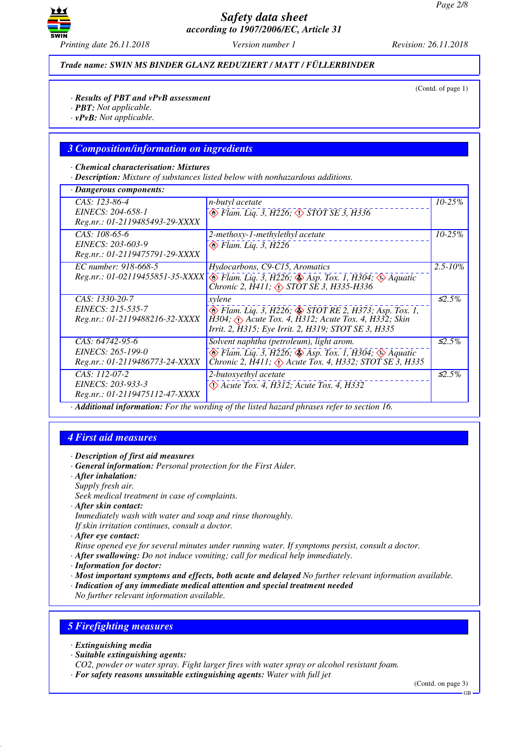

*Trade name: SWIN MS BINDER GLANZ REDUZIERT / MATT / FÜLLERBINDER*

(Contd. of page 1)

- *· PBT: Not applicable.*
- *· vPvB: Not applicable.*

#### *3 Composition/information on ingredients*

#### *· Chemical characterisation: Mixtures*

*· Description: Mixture of substances listed below with nonhazardous additions.*

| <b>Dangerous components:</b>                                                                           |                                                                                                                                                                                             |                    |
|--------------------------------------------------------------------------------------------------------|---------------------------------------------------------------------------------------------------------------------------------------------------------------------------------------------|--------------------|
| CAS: 123-86-4<br>EINECS: 204-658-1<br>Reg.nr.: 01-2119485493-29-XXXX                                   | n-butyl acetate<br>◆ Flam. Liq. 3, H226; ◇ STOT SE 3, H336                                                                                                                                  | $10 - 25%$         |
| CAS: 108-65-6<br>EINECS: 203-603-9<br>Reg.nr.: 01-2119475791-29-XXXX                                   | 2-methoxy-1-methylethyl acetate<br>$\otimes$ Flam. Liq. 3, H226                                                                                                                             | $10 - 25%$         |
| EC number: 918-668-5<br>Reg.nr.: 01-02119455851-35-XXXX                                                | Hydocarbons, C9-C15, Aromatics<br>$\otimes$ Flam. Liq. 3, H226; $\otimes$ Asp. Tox. 1, H304; $\otimes$ Aquatic<br>Chronic 2, $\hat{H}$ 411; $\triangle$ STOT SE 3, H335-H336                | $2.5 - 10\%$       |
| CAS: 1330-20-7<br>EINECS: 215-535-7<br>Reg.nr.: 01-2119488216-32-XXXX                                  | xvlene<br>◈ Flam. Liq. 3, H226; ♦ STOT RE 2, H373; Asp. Tox. 1,<br>H304; $\Diamond$ Acute Tox. 4, H312; Acute Tox. 4, H332; Skin<br>Irrit. 2, H315; Eye Irrit. 2, H319; STOT SE 3, H335     | $\leq 2.5\%$       |
| CAS: 64742-95-6<br>EINECS: 265-199-0<br>Reg.nr.: 01-2119486773-24-XXXX                                 | Solvent naphtha (petroleum), light arom.<br>$\otimes$ Flam. Liq. 3, H226; $\otimes$ Asp. Tox. 1, H304; $\otimes$ Aquatic<br>Chronic 2, H411; $\Diamond$ Acute Tox. 4, H332; STOT SE 3, H335 | $\mathcal{L}2.5\%$ |
| CAS: 112-07-2<br>EINECS: 203-933-3<br>Reg.nr.: 01-2119475112-47-XXXX<br>$\blacksquare$<br>$\mathbf{r}$ | 2-butoxyethyl acetate<br>$\langle$ Acute Tox. 4, H312; Acute Tox. 4, H332<br>$1.1 \t1.1 \t1.1$<br>$\mathbf{1}$<br>$\sqrt{1}$                                                                | $\leq 2.5\%$       |

*· Additional information: For the wording of the listed hazard phrases refer to section 16.*

#### *4 First aid measures*

- *· General information: Personal protection for the First Aider.*
- *· After inhalation:*
- *Supply fresh air.*
- *Seek medical treatment in case of complaints.*
- *· After skin contact:*
- *Immediately wash with water and soap and rinse thoroughly. If skin irritation continues, consult a doctor.*
- *· After eye contact:*
- *Rinse opened eye for several minutes under running water. If symptoms persist, consult a doctor.*
- *· After swallowing: Do not induce vomiting; call for medical help immediately.*
- *· Information for doctor:*
- *· Most important symptoms and effects, both acute and delayed No further relevant information available.*
- *· Indication of any immediate medical attention and special treatment needed*
- *No further relevant information available.*

# *5 Firefighting measures*

- *· Extinguishing media*
- *· Suitable extinguishing agents:*
- *CO2, powder or water spray. Fight larger fires with water spray or alcohol resistant foam.*
- *· For safety reasons unsuitable extinguishing agents: Water with full jet*

*<sup>·</sup> Description of first aid measures*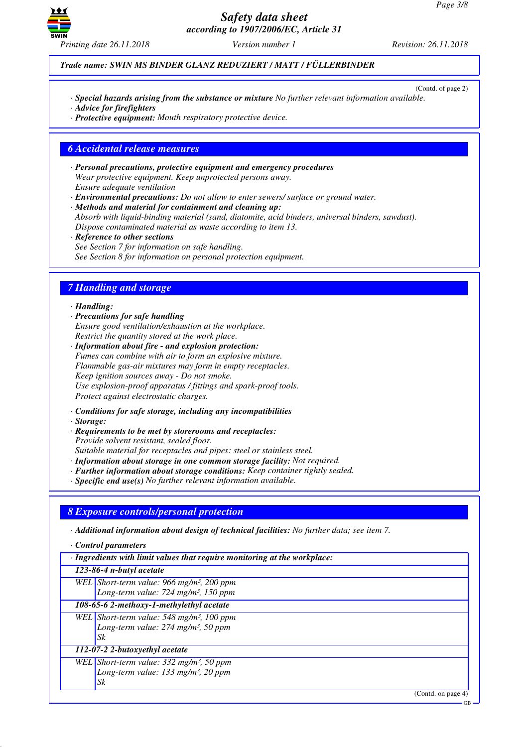

*Trade name: SWIN MS BINDER GLANZ REDUZIERT / MATT / FÜLLERBINDER*

(Contd. of page 2)

- *· Special hazards arising from the substance or mixture No further relevant information available.*
- *· Advice for firefighters*
- *· Protective equipment: Mouth respiratory protective device.*

### *6 Accidental release measures*

- *· Personal precautions, protective equipment and emergency procedures Wear protective equipment. Keep unprotected persons away. Ensure adequate ventilation*
- *· Environmental precautions: Do not allow to enter sewers/ surface or ground water.*
- *· Methods and material for containment and cleaning up: Absorb with liquid-binding material (sand, diatomite, acid binders, universal binders, sawdust). Dispose contaminated material as waste according to item 13.*
- *· Reference to other sections See Section 7 for information on safe handling. See Section 8 for information on personal protection equipment.*

# *7 Handling and storage*

#### *· Handling:*

- *· Precautions for safe handling Ensure good ventilation/exhaustion at the workplace. Restrict the quantity stored at the work place.*
- *· Information about fire and explosion protection: Fumes can combine with air to form an explosive mixture. Flammable gas-air mixtures may form in empty receptacles. Keep ignition sources away - Do not smoke. Use explosion-proof apparatus / fittings and spark-proof tools. Protect against electrostatic charges.*
- *· Conditions for safe storage, including any incompatibilities*
- *· Storage:*
- *· Requirements to be met by storerooms and receptacles: Provide solvent resistant, sealed floor.*
- *Suitable material for receptacles and pipes: steel or stainless steel.*
- *· Information about storage in one common storage facility: Not required.*
- *· Further information about storage conditions: Keep container tightly sealed.*
- *· Specific end use(s) No further relevant information available.*

# *8 Exposure controls/personal protection*

- *· Additional information about design of technical facilities: No further data; see item 7.*
- *· Control parameters*
- *· Ingredients with limit values that require monitoring at the workplace:*

#### *123-86-4 n-butyl acetate*

- *WEL Short-term value: 966 mg/m³, 200 ppm Long-term value: 724 mg/m³, 150 ppm*
- *108-65-6 2-methoxy-1-methylethyl acetate WEL Short-term value: 548 mg/m³, 100 ppm*
	- *Long-term value: 274 mg/m³, 50 ppm Sk*

#### *112-07-2 2-butoxyethyl acetate*

*WEL Short-term value: 332 mg/m³, 50 ppm Long-term value: 133 mg/m³, 20 ppm Sk*

(Contd. on page 4)

GB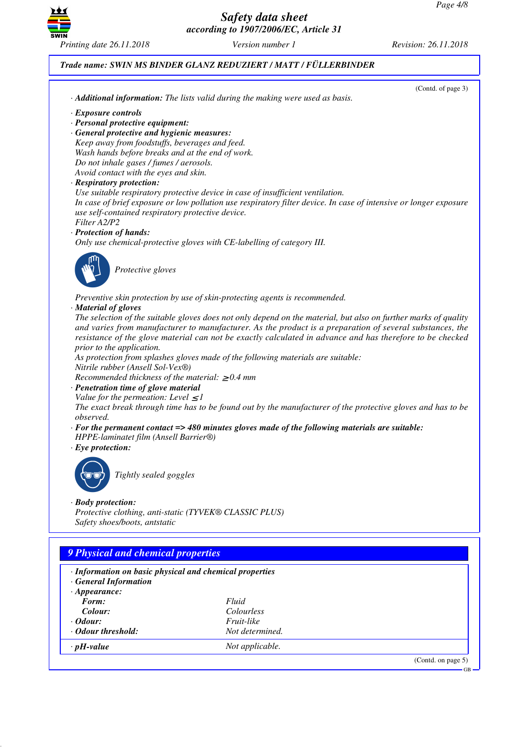

# *Trade name: SWIN MS BINDER GLANZ REDUZIERT / MATT / FÜLLERBINDER*

| (Contd. of page 3)<br>· <b>Additional information:</b> The lists valid during the making were used as basis.      |  |
|-------------------------------------------------------------------------------------------------------------------|--|
|                                                                                                                   |  |
| · Exposure controls<br>· Personal protective equipment:                                                           |  |
| · General protective and hygienic measures:                                                                       |  |
| Keep away from foodstuffs, beverages and feed.                                                                    |  |
| Wash hands before breaks and at the end of work.                                                                  |  |
| Do not inhale gases / fumes / aerosols.                                                                           |  |
| Avoid contact with the eyes and skin.                                                                             |  |
| · Respiratory protection:                                                                                         |  |
| Use suitable respiratory protective device in case of insufficient ventilation.                                   |  |
| In case of brief exposure or low pollution use respiratory filter device. In case of intensive or longer exposure |  |
| use self-contained respiratory protective device.                                                                 |  |
| Filter A2/P2                                                                                                      |  |
| · Protection of hands:                                                                                            |  |
| Only use chemical-protective gloves with CE-labelling of category III.                                            |  |
| Protective gloves                                                                                                 |  |
| Preventive skin protection by use of skin-protecting agents is recommended.                                       |  |
| · Material of gloves                                                                                              |  |
| The selection of the suitable gloves does not only depend on the material, but also on further marks of quality   |  |
| and varies from manufacturer to manufacturer. As the product is a preparation of several substances, the          |  |
| resistance of the glove material can not be exactly calculated in advance and has therefore to be checked         |  |
| prior to the application.                                                                                         |  |
| As protection from splashes gloves made of the following materials are suitable:                                  |  |
| Nitrile rubber (Ansell Sol-Vex®)                                                                                  |  |
| Recommended thickness of the material: $\geq 0.4$ mm<br>· Penetration time of glove material                      |  |
| Value for the permeation: Level $\leq$ 1                                                                          |  |
| The exact break through time has to be found out by the manufacturer of the protective gloves and has to be       |  |
| observed.                                                                                                         |  |
| $\cdot$ For the permanent contact => 480 minutes gloves made of the following materials are suitable:             |  |
| HPPE-laminatet film (Ansell Barrier®)                                                                             |  |
| $\cdot$ Eye protection:                                                                                           |  |
|                                                                                                                   |  |
| Tightly sealed goggles                                                                                            |  |
|                                                                                                                   |  |
| $\cdot$ Body protection:                                                                                          |  |
| Protective clothing, anti-static (TYVEK® CLASSIC PLUS)                                                            |  |
| Safety shoes/boots, antstatic                                                                                     |  |
|                                                                                                                   |  |
|                                                                                                                   |  |
| <b>9 Physical and chemical properties</b>                                                                         |  |

| · Information on basic physical and chemical properties<br>· General Information |                   |                    |
|----------------------------------------------------------------------------------|-------------------|--------------------|
| $\cdot$ Appearance:                                                              |                   |                    |
| Form:                                                                            | Fluid             |                    |
| Colour:                                                                          | <i>Colourless</i> |                    |
| $\cdot$ Odour:                                                                   | <i>Fruit-like</i> |                    |
| • Odour threshold:                                                               | Not determined.   |                    |
| $\cdot$ pH-value                                                                 | Not applicable.   |                    |
|                                                                                  |                   | (Contd. on page 5) |

GB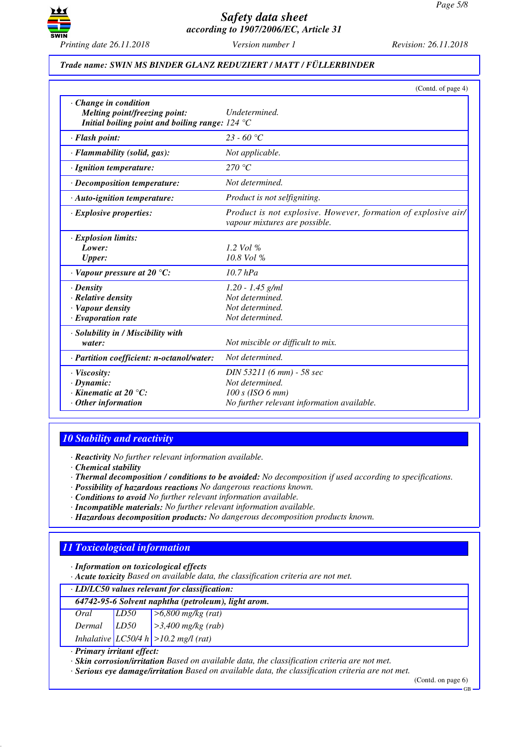

### *Trade name: SWIN MS BINDER GLANZ REDUZIERT / MATT / FÜLLERBINDER*

|                                                                                                                                         | (Contd. of page 4)                                                                                               |
|-----------------------------------------------------------------------------------------------------------------------------------------|------------------------------------------------------------------------------------------------------------------|
| $\cdot$ Change in condition<br>Melting point/freezing point:<br>Initial boiling point and boiling range: $124 \text{ }^{\circ}\text{C}$ | Undetermined.                                                                                                    |
| · Flash point:                                                                                                                          | $23 - 60 °C$                                                                                                     |
| · Flammability (solid, gas):                                                                                                            | Not applicable.                                                                                                  |
| · Ignition temperature:                                                                                                                 | 270 °C                                                                                                           |
| $\cdot$ Decomposition temperature:                                                                                                      | Not determined.                                                                                                  |
| $\cdot$ Auto-ignition temperature:                                                                                                      | Product is not selfigniting.                                                                                     |
| $\cdot$ Explosive properties:                                                                                                           | Product is not explosive. However, formation of explosive air/<br>vapour mixtures are possible.                  |
| · Explosion limits:<br>Lower:<br><b>Upper:</b>                                                                                          | 1.2 Vol $\%$<br>$10.8$ Vol %                                                                                     |
| $\cdot$ Vapour pressure at 20 °C:                                                                                                       | $10.7$ $hPa$                                                                                                     |
| $\cdot$ Density<br>· Relative density<br>· Vapour density<br>$\cdot$ Evaporation rate                                                   | $1.20 - 1.45$ g/ml<br>Not determined.<br>Not determined.<br>Not determined.                                      |
| · Solubility in / Miscibility with<br>water:                                                                                            | Not miscible or difficult to mix.                                                                                |
| · Partition coefficient: n-octanol/water:                                                                                               | Not determined.                                                                                                  |
| · Viscosity:<br>$\cdot$ Dynamic:<br>$\cdot$ Kinematic at 20 $\degree$ C:<br>$\cdot$ Other information                                   | DIN 53211 (6 mm) - 58 sec<br>Not determined.<br>$100 s$ (ISO 6 mm)<br>No further relevant information available. |

# *10 Stability and reactivity*

*· Reactivity No further relevant information available.*

*· Chemical stability*

- *· Thermal decomposition / conditions to be avoided: No decomposition if used according to specifications.*
- *· Possibility of hazardous reactions No dangerous reactions known.*
- *· Conditions to avoid No further relevant information available.*
- *· Incompatible materials: No further relevant information available.*
- *· Hazardous decomposition products: No dangerous decomposition products known.*

# *11 Toxicological information*

*· Information on toxicological effects*

*· Acute toxicity Based on available data, the classification criteria are not met.*

|        | · LD/LC50 values relevant for classification:       |                          |  |
|--------|-----------------------------------------------------|--------------------------|--|
|        | 64742-95-6 Solvent naphtha (petroleum), light arom. |                          |  |
| Oral   | LD <sub>50</sub>                                    | $>6,800$ mg/kg (rat)     |  |
| Dermal | LD50                                                | $\geq 3,400$ mg/kg (rab) |  |
|        | Inhalative $ LCS0/4 h  > 10.2$ mg/l (rat)           |                          |  |

*· Primary irritant effect:*

*· Skin corrosion/irritation Based on available data, the classification criteria are not met.*

*· Serious eye damage/irritation Based on available data, the classification criteria are not met.*

(Contd. on page 6)

GB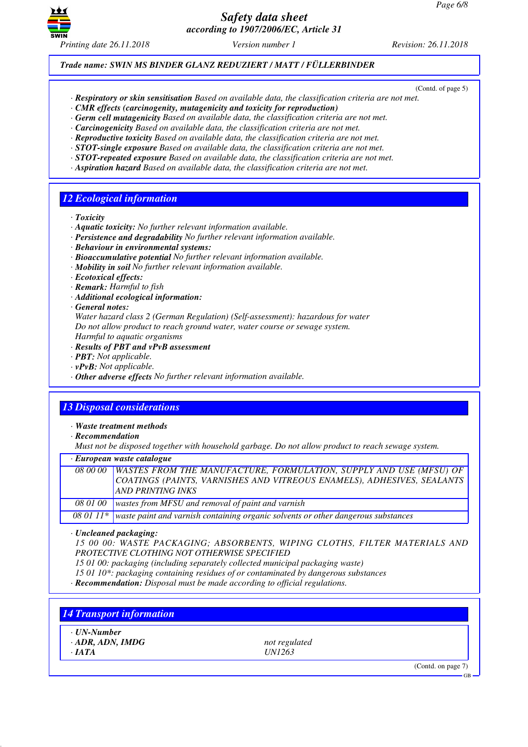

(Contd. of page 5)

*Trade name: SWIN MS BINDER GLANZ REDUZIERT / MATT / FÜLLERBINDER*

- *· Respiratory or skin sensitisation Based on available data, the classification criteria are not met.*
- *· CMR effects (carcinogenity, mutagenicity and toxicity for reproduction)*
- *· Germ cell mutagenicity Based on available data, the classification criteria are not met.*
- *· Carcinogenicity Based on available data, the classification criteria are not met.*
- *· Reproductive toxicity Based on available data, the classification criteria are not met.*
- *· STOT-single exposure Based on available data, the classification criteria are not met.*
- *· STOT-repeated exposure Based on available data, the classification criteria are not met.*
- *· Aspiration hazard Based on available data, the classification criteria are not met.*

# *12 Ecological information*

- *· Toxicity*
- *· Aquatic toxicity: No further relevant information available.*
- *· Persistence and degradability No further relevant information available.*
- *· Behaviour in environmental systems:*
- *· Bioaccumulative potential No further relevant information available.*
- *· Mobility in soil No further relevant information available.*
- *· Ecotoxical effects:*
- *· Remark: Harmful to fish*
- *· Additional ecological information:*
- *· General notes:*

*Water hazard class 2 (German Regulation) (Self-assessment): hazardous for water Do not allow product to reach ground water, water course or sewage system.*

- *Harmful to aquatic organisms*
- *· Results of PBT and vPvB assessment*
- *· PBT: Not applicable.*
- *· vPvB: Not applicable.*
- *· Other adverse effects No further relevant information available.*

# *13 Disposal considerations*

- *· Waste treatment methods*
- *· Recommendation*

*Must not be disposed together with household garbage. Do not allow product to reach sewage system.*

|          | $\cdot$ European waste catalogue                                                                                                                                                  |
|----------|-----------------------------------------------------------------------------------------------------------------------------------------------------------------------------------|
|          | 08 00 00 WASTES FROM THE MANUFACTURE, FORMULATION, SUPPLY AND USE (MFSU) OF<br>COATINGS (PAINTS, VARNISHES AND VITREOUS ENAMELS), ADHESIVES, SEALANTS<br><b>AND PRINTING INKS</b> |
| 08 01 00 | wastes from MFSU and removal of paint and varnish                                                                                                                                 |
|          | 08 01 $11*$ waste paint and varnish containing organic solvents or other dangerous substances                                                                                     |

*· Uncleaned packaging:*

*15 00 00: WASTE PACKAGING; ABSORBENTS, WIPING CLOTHS, FILTER MATERIALS AND PROTECTIVE CLOTHING NOT OTHERWISE SPECIFIED*

*15 01 00: packaging (including separately collected municipal packaging waste)*

*15 01 10\*: packaging containing residues of or contaminated by dangerous substances*

*· Recommendation: Disposal must be made according to official regulations.*

#### *14 Transport information*

- *· UN-Number*
- *· ADR, ADN, IMDG not regulated*

*· IATA UN1263*

(Contd. on page 7)

GB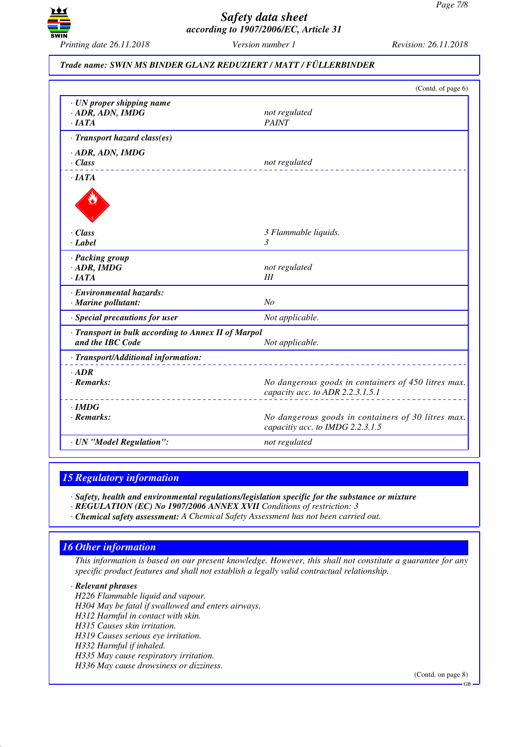

#### *Trade name: SWIN MS BINDER GLANZ REDUZIERT / MATT / FÜLLERBINDER*

|                                                                           | (Contd. of page 6)                                                                      |
|---------------------------------------------------------------------------|-----------------------------------------------------------------------------------------|
| $\cdot$ UN proper shipping name<br>$\cdot$ ADR, ADN, IMDG<br>$\cdot$ IATA | not regulated<br><b>PAINT</b>                                                           |
| · Transport hazard class(es)                                              |                                                                                         |
| $\cdot$ ADR, ADN, IMDG<br>$\cdot$ Class                                   | not regulated                                                                           |
| $\cdot$ IATA                                                              |                                                                                         |
|                                                                           |                                                                                         |
| $\cdot$ Class                                                             | 3 Flammable liquids.                                                                    |
| $\cdot$ Label                                                             | $\mathfrak{Z}$                                                                          |
| · Packing group                                                           |                                                                                         |
| $\cdot$ ADR, IMDG                                                         | not regulated                                                                           |
| ·IATA                                                                     | III                                                                                     |
| · Environmental hazards:<br>· Marine pollutant:                           | N <sub>O</sub>                                                                          |
|                                                                           |                                                                                         |
| · Special precautions for user                                            | Not applicable.                                                                         |
| · Transport in bulk according to Annex II of Marpol<br>and the IBC Code   | Not applicable.                                                                         |
| · Transport/Additional information:                                       |                                                                                         |
| $.$ ADR<br>$\cdot$ Remarks:                                               | No dangerous goods in containers of 450 litres max.<br>capacity acc. to ADR 2.2.3.1.5.1 |
| $\cdot$ IMDG<br>· Remarks:                                                | No dangerous goods in containers of 30 litres max.<br>capacitiy acc. to IMDG 2.2.3.1.5  |
| · UN "Model Regulation":                                                  | not regulated                                                                           |
|                                                                           |                                                                                         |

#### *15 Regulatory information*

*· Safety, health and environmental regulations/legislation specific for the substance or mixture*

- *· REGULATION (EC) No 1907/2006 ANNEX XVII Conditions of restriction: 3*
- *· Chemical safety assessment: A Chemical Safety Assessment has not been carried out.*

# *16 Other information*

*This information is based on our present knowledge. However, this shall not constitute a guarantee for any specific product features and shall not establish a legally valid contractual relationship.*

*· Relevant phrases*

*H226 Flammable liquid and vapour. H304 May be fatal if swallowed and enters airways. H312 Harmful in contact with skin. H315 Causes skin irritation. H319 Causes serious eye irritation. H332 Harmful if inhaled. H335 May cause respiratory irritation. H336 May cause drowsiness or dizziness.*

(Contd. on page 8)

GB